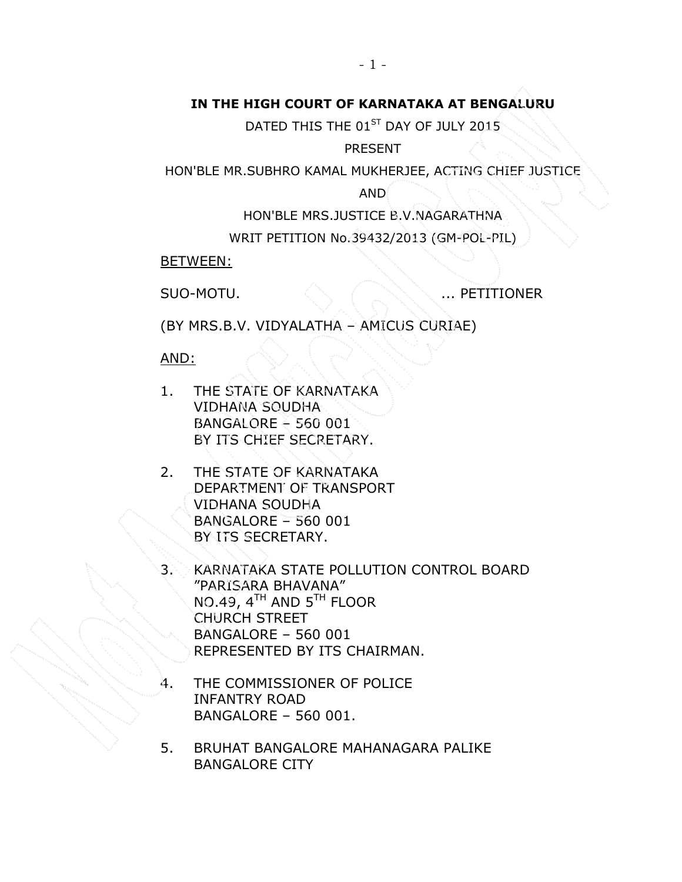## IN THE HIGH COURT OF KARNATAKA AT BENGALURU

DATED THIS THE 01<sup>ST</sup> DAY OF JULY 2015

PRESENT

HON'BLE MR.SUBHRO KAMAL MUKHERJEE, ACTING CHIEF JUSTICE

AND

HON'BLE MRS.JUSTICE B.V.NAGARATHNA

WRIT PETITION No.39432/2013 (GM-POL-PIL)

BETWEEN:

SUO-MOTU. ... PETITIONER

(BY MRS.B.V. VIDYALATHA – AMICUS CURIAE)

AND:

- 1. THE STATE OF KARNATAKA VIDHANA SOUDHA BANGALORE – 560 001 BY ITS CHIEF SECRETARY.
- 2. THE STATE OF KARNATAKA DEPARTMENT OF TRANSPORT VIDHANA SOUDHA BANGALORE – 560 001 BY ITS SECRETARY.
- KARNATAKA STATE POLLUTION CONTROL BOARD "PARISARA BHAVANA" NO.49, 4TH AND 5TH FLOOR CHURCH STREET BANGALORE – 560 001 REPRESENTED BY ITS CHAIRMAN.
- 4. THE COMMISSIONER OF POLICE INFANTRY ROAD BANGALORE – 560 001.
- 5. BRUHAT BANGALORE MAHANAGARA PALIKE BANGALORE CITY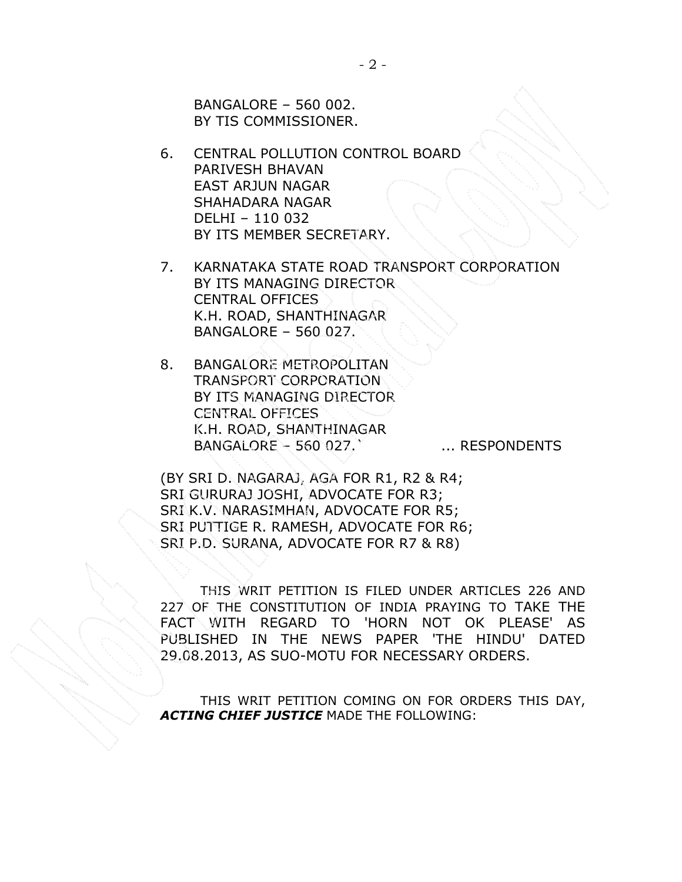BANGALORE – 560 002. BY TIS COMMISSIONER.

- 6. CENTRAL POLLUTION CONTROL BOARD PARIVESH BHAVAN EAST ARJUN NAGAR SHAHADARA NAGAR DELHI – 110 032 BY ITS MEMBER SECRETARY.
- 7. KARNATAKA STATE ROAD TRANSPORT CORPORATION BY ITS MANAGING DIRECTOR CENTRAL OFFICES K.H. ROAD, SHANTHINAGAR BANGALORE – 560 027.
- 8. BANGALORE METROPOLITAN TRANSPORT CORPORATION BY ITS MANAGING DIRECTOR CENTRAL OFFICES K.H. ROAD, SHANTHINAGAR BANGALORE – 560 027. ... ... RESPONDENTS

(BY SRI D. NAGARAJ, AGA FOR R1, R2 & R4; SRI GURURAJ JOSHI, ADVOCATE FOR R3; SRI K.V. NARASIMHAN, ADVOCATE FOR R5; SRI PUTTIGE R. RAMESH, ADVOCATE FOR R6; SRI P.D. SURANA, ADVOCATE FOR R7 & R8)

THIS WRIT PETITION IS FILED UNDER ARTICLES 226 AND 227 OF THE CONSTITUTION OF INDIA PRAYING TO TAKE THE FACT WITH REGARD TO 'HORN NOT OK PLEASE' AS PUBLISHED IN THE NEWS PAPER 'THE HINDU' DATED 29.08.2013, AS SUO-MOTU FOR NECESSARY ORDERS.

 THIS WRIT PETITION COMING ON FOR ORDERS THIS DAY, ACTING CHIEF JUSTICE MADE THE FOLLOWING: